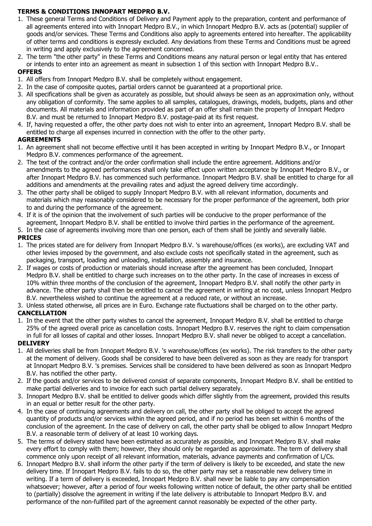## **TERMS & CONDITIONS INNOPART MEDPRO B.V.**

- 1. These general Terms and Conditions of Delivery and Payment apply to the preparation, content and performance of all agreements entered into with Innopart Medpro B.V., in which Innopart Medpro B.V. acts as (potential) supplier of goods and/or services. These Terms and Conditions also apply to agreements entered into hereafter. The applicability of other terms and conditions is expressly excluded. Any deviations from these Terms and Conditions must be agreed in writing and apply exclusively to the agreement concerned.
- 2. The term "the other party" in these Terms and Conditions means any natural person or legal entity that has entered or intends to enter into an agreement as meant in subsection 1 of this section with Innopart Medpro B.V..

### **OFFERS**

- 1. All offers from Innopart Medpro B.V. shall be completely without engagement.
- 2. In the case of composite quotes, partial orders cannot be guaranteed at a proportional price.
- 3. All specifications shall be given as accurately as possible, but should always be seen as an approximation only, without any obligation of conformity. The same applies to all samples, catalogues, drawings, models, budgets, plans and other documents. All materials and information provided as part of an offer shall remain the property of Innopart Medpro B.V. and must be returned to Innopart Medpro B.V. postage-paid at its first request.
- 4. If, having requested a offer, the other party does not wish to enter into an agreement, Innopart Medpro B.V. shall be entitled to charge all expenses incurred in connection with the offer to the other party.

#### **AGREEMENTS**

- 1. An agreement shall not become effective until it has been accepted in writing by Innopart Medpro B.V., or Innopart Medpro B.V. commences performance of the agreement.
- 2. The text of the contract and/or the order confirmation shall include the entire agreement. Additions and/or amendments to the agreed performances shall only take effect upon written acceptance by Innopart Medpro B.V., or after Innopart Medpro B.V. has commenced such performance. Innopart Medpro B.V. shall be entitled to charge for all additions and amendments at the prevailing rates and adjust the agreed delivery time accordingly.
- 3. The other party shall be obliged to supply Innopart Medpro B.V. with all relevant information, documents and materials which may reasonably considered to be necessary for the proper performance of the agreement, both prior to and during the performance of the agreement.
- 4. If it is of the opinion that the involvement of such parties will be conducive to the proper performance of the agreement, Innopart Medpro B.V. shall be entitled to involve third parties in the performance of the agreement.

5. In the case of agreements involving more than one person, each of them shall be jointly and severally liable.

## **PRICES**

- 1. The prices stated are for delivery from Innopart Medpro B.V. 's warehouse/offices (ex works), are excluding VAT and other levies imposed by the government, and also exclude costs not specifically stated in the agreement, such as packaging, transport, loading and unloading, installation, assembly and insurance.
- 2. If wages or costs of production or materials should increase after the agreement has been concluded, Innopart Medpro B.V. shall be entitled to charge such increases on to the other party. In the case of increases in excess of 10% within three months of the conclusion of the agreement, Innopart Medpro B.V. shall notify the other party in advance. The other party shall then be entitled to cancel the agreement in writing at no cost, unless Innopart Medpro B.V. nevertheless wished to continue the agreement at a reduced rate, or without an increase.
- 3. Unless stated otherwise, all prices are in Euro. Exchange rate fluctuations shall be charged on to the other party. **CANCELLATION**
- 1. In the event that the other party wishes to cancel the agreement, Innopart Medpro B.V. shall be entitled to charge 25% of the agreed overall price as cancellation costs. Innopart Medpro B.V. reserves the right to claim compensation in full for all losses of capital and other losses. Innopart Medpro B.V. shall never be obliged to accept a cancellation. **DELIVERY**
- 1. All deliveries shall be from Innopart Medpro B.V. 's warehouse/offices (ex works). The risk transfers to the other party at the moment of delivery. Goods shall be considered to have been delivered as soon as they are ready for transport at Innopart Medpro B.V. 's premises. Services shall be considered to have been delivered as soon as Innopart Medpro B.V. has notified the other party.
- 2. If the goods and/or services to be delivered consist of separate components, Innopart Medpro B.V. shall be entitled to make partial deliveries and to invoice for each such partial delivery separately.
- 3. Innopart Medpro B.V. shall be entitled to deliver goods which differ slightly from the agreement, provided this results in an equal or better result for the other party.
- 4. In the case of continuing agreements and delivery on call, the other party shall be obliged to accept the agreed quantity of products and/or services within the agreed period, and if no period has been set within 6 months of the conclusion of the agreement. In the case of delivery on call, the other party shall be obliged to allow Innopart Medpro B.V. a reasonable term of delivery of at least 10 working days.
- 5. The terms of delivery stated have been estimated as accurately as possible, and Innopart Medpro B.V. shall make every effort to comply with them; however, they should only be regarded as approximate. The term of delivery shall commence only upon receipt of all relevant information, materials, advance payments and confirmation of L/Cs.
- 6. Innopart Medpro B.V. shall inform the other party if the term of delivery is likely to be exceeded, and state the new delivery time. If Innopart Medpro B.V. fails to do so, the other party may set a reasonable new delivery time in writing. If a term of delivery is exceeded, Innopart Medpro B.V. shall never be liable to pay any compensation whatsoever; however, after a period of four weeks following written notice of default, the other party shall be entitled to (partially) dissolve the agreement in writing if the late delivery is attributable to Innopart Medpro B.V. and performance of the non-fulfilled part of the agreement cannot reasonably be expected of the other party.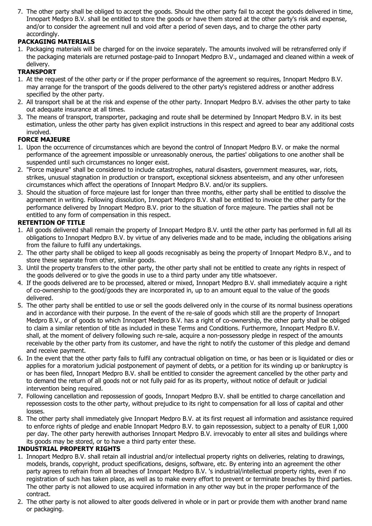7. The other party shall be obliged to accept the goods. Should the other party fail to accept the goods delivered in time, Innopart Medpro B.V. shall be entitled to store the goods or have them stored at the other party's risk and expense, and/or to consider the agreement null and void after a period of seven days, and to charge the other party accordingly.

## **PACKAGING MATERIALS**

1. Packaging materials will be charged for on the invoice separately. The amounts involved will be retransferred only if the packaging materials are returned postage-paid to Innopart Medpro B.V., undamaged and cleaned within a week of delivery.

# **TRANSPORT**

- 1. At the request of the other party or if the proper performance of the agreement so requires, Innopart Medpro B.V. may arrange for the transport of the goods delivered to the other party's registered address or another address specified by the other party.
- 2. All transport shall be at the risk and expense of the other party. Innopart Medpro B.V. advises the other party to take out adequate insurance at all times.
- 3. The means of transport, transporter, packaging and route shall be determined by Innopart Medpro B.V. in its best estimation, unless the other party has given explicit instructions in this respect and agreed to bear any additional costs involved.

## **FORCE MAJEURE**

- 1. Upon the occurrence of circumstances which are beyond the control of Innopart Medpro B.V. or make the normal performance of the agreement impossible or unreasonably onerous, the parties' obligations to one another shall be suspended until such circumstances no longer exist.
- 2. "Force majeure" shall be considered to include catastrophes, natural disasters, government measures, war, riots, strikes, unusual stagnation in production or transport, exceptional sickness absenteeism, and any other unforeseen circumstances which affect the operations of Innopart Medpro B.V. and/or its suppliers.
- 3. Should the situation of force majeure last for longer than three months, either party shall be entitled to dissolve the agreement in writing. Following dissolution, Innopart Medpro B.V. shall be entitled to invoice the other party for the performance delivered by Innopart Medpro B.V. prior to the situation of force majeure. The parties shall not be entitled to any form of compensation in this respect.

## **RETENTION OF TITLE**

- 1. All goods delivered shall remain the property of Innopart Medpro B.V. until the other party has performed in full all its obligations to Innopart Medpro B.V. by virtue of any deliveries made and to be made, including the obligations arising from the failure to fulfil any undertakings.
- 2. The other party shall be obliged to keep all goods recognisably as being the property of Innopart Medpro B.V., and to store these separate from other, similar goods.
- 3. Until the property transfers to the other party, the other party shall not be entitled to create any rights in respect of the goods delivered or to give the goods in use to a third party under any title whatsoever.
- 4. If the goods delivered are to be processed, altered or mixed, Innopart Medpro B.V. shall immediately acquire a right of co-ownership to the good/goods they are incorporated in, up to an amount equal to the value of the goods delivered.
- 5. The other party shall be entitled to use or sell the goods delivered only in the course of its normal business operations and in accordance with their purpose. In the event of the re-sale of goods which still are the property of Innopart Medpro B.V., or of goods to which Innopart Medpro B.V. has a right of co-ownership, the other party shall be obliged to claim a similar retention of title as included in these Terms and Conditions. Furthermore, Innopart Medpro B.V. shall, at the moment of delivery following such re-sale, acquire a non-possessory pledge in respect of the amounts receivable by the other party from its customer, and have the right to notify the customer of this pledge and demand and receive payment.
- 6. In the event that the other party fails to fulfil any contractual obligation on time, or has been or is liquidated or dies or applies for a moratorium judicial postponement of payment of debts, or a petition for its winding up or bankruptcy is or has been filed, Innopart Medpro B.V. shall be entitled to consider the agreement cancelled by the other party and to demand the return of all goods not or not fully paid for as its property, without notice of default or judicial intervention being required.
- 7. Following cancellation and repossession of goods, Innopart Medpro B.V. shall be entitled to charge cancellation and repossession costs to the other party, without prejudice to its right to compensation for all loss of capital and other losses.
- 8. The other party shall immediately give Innopart Medpro B.V. at its first request all information and assistance required to enforce rights of pledge and enable Innopart Medpro B.V. to gain repossession, subject to a penalty of EUR 1,000 per day. The other party herewith authorises Innopart Medpro B.V. irrevocably to enter all sites and buildings where its goods may be stored, or to have a third party enter these.

## **INDUSTRIAL PROPERTY RIGHTS**

- 1. Innopart Medpro B.V. shall retain all industrial and/or intellectual property rights on deliveries, relating to drawings, models, brands, copyright, product specifications, designs, software, etc. By entering into an agreement the other party agrees to refrain from all breaches of Innopart Medpro B.V. 's industrial/intellectual property rights, even if no registration of such has taken place, as well as to make every effort to prevent or terminate breaches by third parties. The other party is not allowed to use acquired information in any other way but in the proper performance of the contract.
- 2. The other party is not allowed to alter goods delivered in whole or in part or provide them with another brand name or packaging.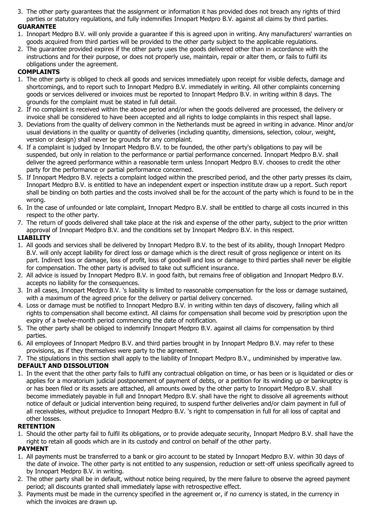3. The other party guarantees that the assignment or information it has provided does not breach any rights of third parties or statutory regulations, and fully indemnifies Innopart Medpro B.V. against all claims by third parties.

## **GUARANTEE**

- 1. Innopart Medpro B.V. will only provide a guarantee if this is agreed upon in writing. Any manufacturers' warranties on goods acquired from third parties will be provided to the other party subject to the applicable regulations.
- 2. The guarantee provided expires if the other party uses the goods delivered other than in accordance with the instructions and for their purpose, or does not properly use, maintain, repair or alter them, or fails to fulfil its obligations under the agreement.

## **COMPLAINTS**

- 1. The other party is obliged to check all goods and services immediately upon receipt for visible defects, damage and shortcomings, and to report such to Innopart Medpro B.V. immediately in writing. All other complaints concerning goods or services delivered or invoices must be reported to Innopart Medpro B.V. in writing within 8 days. The grounds for the complaint must be stated in full detail.
- 2. If no complaint is received within the above period and/or when the goods delivered are processed, the delivery or invoice shall be considered to have been accepted and all rights to lodge complaints in this respect shall lapse.
- 3. Deviations from the quality of delivery common in the Netherlands must be agreed in writing in advance. Minor and/or usual deviations in the quality or quantity of deliveries (including quantity, dimensions, selection, colour, weight, version or design) shall never be grounds for any complaint.
- 4. If a complaint is judged by Innopart Medpro B.V. to be founded, the other party's obligations to pay will be suspended, but only in relation to the performance or partial performance concerned. Innopart Medpro B.V. shall deliver the agreed performance within a reasonable term unless Innopart Medpro B.V. chooses to credit the other party for the performance or partial performance concerned.
- 5. If Innopart Medpro B.V. rejects a complaint lodged within the prescribed period, and the other party presses its claim, Innopart Medpro B.V. is entitled to have an independent expert or inspection institute draw up a report. Such report shall be binding on both parties and the costs involved shall be for the account of the party which is found to be in the wrong.
- 6. In the case of unfounded or late complaint, Innopart Medpro B.V. shall be entitled to charge all costs incurred in this respect to the other party.
- 7. The return of goods delivered shall take place at the risk and expense of the other party, subject to the prior written approval of Innopart Medpro B.V. and the conditions set by Innopart Medpro B.V. in this respect.

## **LIABILITY**

- 1. All goods and services shall be delivered by Innopart Medpro B.V. to the best of its ability, though Innopart Medpro B.V. will only accept liability for direct loss or damage which is the direct result of gross negligence or intent on its part. Indirect loss or damage, loss of profit, loss of goodwill and loss or damage to third parties shall never be eligible for compensation. The other party is advised to take out sufficient insurance.
- 2. All advice is issued by Innopart Medpro B.V. in good faith, but remains free of obligation and Innopart Medpro B.V. accepts no liability for the consequences.
- 3. In all cases, Innopart Medpro B.V. 's liability is limited to reasonable compensation for the loss or damage sustained, with a maximum of the agreed price for the delivery or partial delivery concerned.
- 4. Loss or damage must be notified to Innopart Medpro B.V. in writing within ten days of discovery, failing which all rights to compensation shall become extinct. All claims for compensation shall become void by prescription upon the expiry of a twelve-month period commencing the date of notification.
- 5. The other party shall be obliged to indemnify Innopart Medpro B.V. against all claims for compensation by third parties.
- 6. All employees of Innopart Medpro B.V. and third parties brought in by Innopart Medpro B.V. may refer to these provisions, as if they themselves were party to the agreement.
- 7. The stipulations in this section shall apply to the liability of Innopart Medpro B.V., undiminished by imperative law. **DEFAULT AND DISSOLUTION**
- 1. In the event that the other party fails to fulfil any contractual obligation on time, or has been or is liquidated or dies or applies for a moratorium judicial postponement of payment of debts, or a petition for its winding up or bankruptcy is or has been filed or its assets are attached, all amounts owed by the other party to Innopart Medpro B.V. shall become immediately payable in full and Innopart Medpro B.V. shall have the right to dissolve all agreements without notice of default or judicial intervention being required, to suspend further deliveries and/or claim payment in full of all receivables, without prejudice to Innopart Medpro B.V. 's right to compensation in full for all loss of capital and other losses.

## **RETENTION**

1. Should the other party fail to fulfil its obligations, or to provide adequate security, Innopart Medpro B.V. shall have the right to retain all goods which are in its custody and control on behalf of the other party.

# **PAYMENT**

- 1. All payments must be transferred to a bank or giro account to be stated by Innopart Medpro B.V. within 30 days of the date of invoice. The other party is not entitled to any suspension, reduction or sett-off unless specifically agreed to by Innopart Medpro B.V. in writing.
- 2. The other party shall be in default, without notice being required, by the mere failure to observe the agreed payment period; all discounts granted shall immediately lapse with retrospective effect.
- 3. Payments must be made in the currency specified in the agreement or, if no currency is stated, in the currency in which the invoices are drawn up.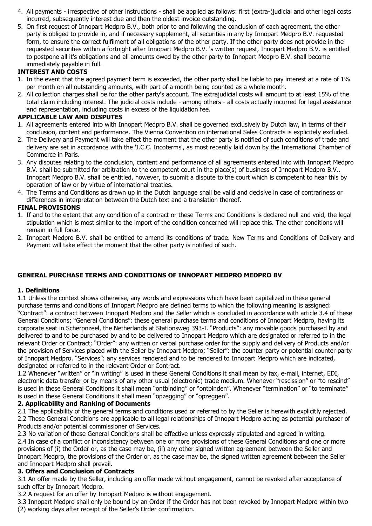- 4. All payments irrespective of other instructions shall be applied as follows: first (extra-)judicial and other legal costs incurred, subsequently interest due and then the oldest invoice outstanding.
- 5. On first request of Innopart Medpro B.V., both prior to and following the conclusion of each agreement, the other party is obliged to provide in, and if necessary supplement, all securities in any by Innopart Medpro B.V. requested form, to ensure the correct fulfilment of all obligations of the other party. If the other party does not provide in the requested securities within a fortnight after Innopart Medpro B.V. 's written request, Innopart Medpro B.V. is entitled to postpone all it's obligations and all amounts owed by the other party to Innopart Medpro B.V. shall become immediately payable in full.

## **INTEREST AND COSTS**

- 1. In the event that the agreed payment term is exceeded, the other party shall be liable to pay interest at a rate of 1% per month on all outstanding amounts, with part of a month being counted as a whole month.
- 2. All collection charges shall be for the other party's account. The extrajudicial costs will amount to at least 15% of the total claim including interest. The judicial costs include - among others - all costs actually incurred for legal assistance and representation, including costs in excess of the liquidation fee.

#### **APPLICABLE LAW AND DISPUTES**

- 1. All agreements entered into with Innopart Medpro B.V. shall be governed exclusively by Dutch law, in terms of their conclusion, content and performance. The Vienna Convention on international Sales Contracts is explicitely excluded.
- 2. The Delivery and Payment will take effect the moment that the other party is notified of such conditions of trade and delivery are set in accordance with the 'I.C.C. Incoterms', as most recently laid down by the International Chamber of Commerce in Paris.
- 3. Any disputes relating to the conclusion, content and performance of all agreements entered into with Innopart Medpro B.V. shall be submitted for arbitration to the competent court in the place(s) of business of Innopart Medpro B.V.. Innopart Medpro B.V. shall be entitled, however, to submit a dispute to the court which is competent to hear this by operation of law or by virtue of international treaties.
- 4. The Terms and Conditions as drawn up in the Dutch language shall be valid and decisive in case of contrariness or differences in interpretation between the Dutch text and a translation thereof.

#### **FINAL PROVISIONS**

- 1. If and to the extent that any condition of a contract or these Terms and Conditions is declared null and void, the legal stipulation which is most similar to the import of the condition concerned will replace this. The other conditions will remain in full force.
- 2. Innopart Medpro B.V. shall be entitled to amend its conditions of trade. New Terms and Conditions of Delivery and Payment will take effect the moment that the other party is notified of such.

## **GENERAL PURCHASE TERMS AND CONDITIONS OF INNOPART MEDPRO MEDPRO BV**

#### **1. Definitions**

1.1 Unless the context shows otherwise, any words and expressions which have been capitalized in these general purchase terms and conditions of Innopart Medpro are defined terms to which the following meaning is assigned: "Contract": a contract between Innopart Medpro and the Seller which is concluded in accordance with article 3.4 of these General Conditions; "General Conditions": these general purchase terms and conditions of Innopart Medpro, having its corporate seat in Scherpnzeel, the Netherlands at Stationsweg 393-I. "Products": any movable goods purchased by and delivered to and to be purchased by and to be delivered to Innopart Medpro which are designated or referred to in the relevant Order or Contract; "Order": any written or verbal purchase order for the supply and delivery of Products and/or the provision of Services placed with the Seller by Innopart Medpro; "Seller": the counter party or potential counter party of Innopart Medpro. "Services": any services rendered and to be rendered to Innopart Medpro which are indicated, designated or referred to in the relevant Order or Contract.

1.2 Whenever "written" or "in writing" is used in these General Conditions it shall mean by fax, e-mail, internet, EDI, electronic data transfer or by means of any other usual (electronic) trade medium. Whenever "rescission" or "to rescind" is used in these General Conditions it shall mean "ontbinding" or "ontbinden". Whenever "termination" or "to terminate" is used in these General Conditions it shall mean "opzegging" or "opzeggen".

#### **2. Applicability and Ranking of Documents**

2.1 The applicability of the general terms and conditions used or referred to by the Seller is herewith explicitly rejected. 2.2 These General Conditions are applicable to all legal relationships of Innopart Medpro acting as potential purchaser of Products and/or potential commissioner of Services.

2.3 No variation of these General Conditions shall be effective unless expressly stipulated and agreed in writing. 2.4 In case of a conflict or inconsistency between one or more provisions of these General Conditions and one or more provisions of (i) the Order or, as the case may be, (ii) any other signed written agreement between the Seller and Innopart Medpro, the provisions of the Order or, as the case may be, the signed written agreement between the Seller and Innopart Medpro shall prevail.

#### **3. Offers and Conclusion of Contracts**

3.1 An offer made by the Seller, including an offer made without engagement, cannot be revoked after acceptance of such offer by Innopart Medpro.

3.2 A request for an offer by Innopart Medpro is without engagement.

3.3 Innopart Medpro shall only be bound by an Order if the Order has not been revoked by Innopart Medpro within two (2) working days after receipt of the Seller's Order confirmation.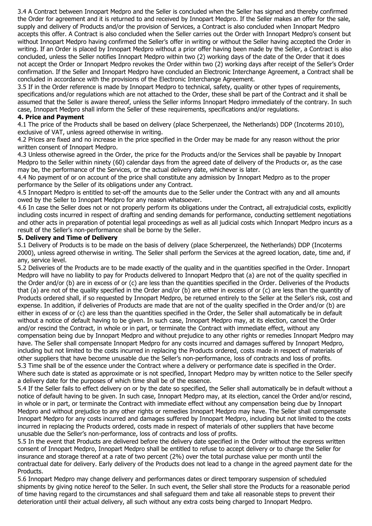3.4 A Contract between Innopart Medpro and the Seller is concluded when the Seller has signed and thereby confirmed the Order for agreement and it is returned to and received by Innopart Medpro. If the Seller makes an offer for the sale, supply and delivery of Products and/or the provision of Services, a Contract is also concluded when Innopart Medpro accepts this offer. A Contract is also concluded when the Seller carries out the Order with Innopart Medpro's consent but without Innopart Medpro having confirmed the Seller's offer in writing or without the Seller having accepted the Order in writing. If an Order is placed by Innopart Medpro without a prior offer having been made by the Seller, a Contract is also concluded, unless the Seller notifies Innopart Medpro within two (2) working days of the date of the Order that it does not accept the Order or Innopart Medpro revokes the Order within two (2) working days after receipt of the Seller's Order confirmation. If the Seller and Innopart Medpro have concluded an Electronic Interchange Agreement, a Contract shall be concluded in accordance with the provisions of the Electronic Interchange Agreement.

3.5 If in the Order reference is made by Innopart Medpro to technical, safety, quality or other types of requirements, specifications and/or regulations which are not attached to the Order, these shall be part of the Contract and it shall be assumed that the Seller is aware thereof, unless the Seller informs Innopart Medpro immediately of the contrary. In such case, Innopart Medpro shall inform the Seller of these requirements, specifications and/or regulations.

## **4. Price and Payment**

4.1 The price of the Products shall be based on delivery (place Scherpenzeel, the Netherlands) DDP (Incoterms 2010), exclusive of VAT, unless agreed otherwise in writing.

4.2 Prices are fixed and no increase in the price specified in the Order may be made for any reason without the prior written consent of Innopart Medpro.

4.3 Unless otherwise agreed in the Order, the price for the Products and/or the Services shall be payable by Innopart Medpro to the Seller within ninety (60) calendar days from the agreed date of delivery of the Products or, as the case may be, the performance of the Services, or the actual delivery date, whichever is later.

4.4 No payment of or on account of the price shall constitute any admission by Innopart Medpro as to the proper performance by the Seller of its obligations under any Contract.

4.5 Innopart Medpro is entitled to set-off the amounts due to the Seller under the Contract with any and all amounts owed by the Seller to Innopart Medpro for any reason whatsoever.

4.6 In case the Seller does not or not properly perform its obligations under the Contract, all extrajudicial costs, explicitly including costs incurred in respect of drafting and sending demands for performance, conducting settlement negotiations and other acts in preparation of potential legal proceedings as well as all judicial costs which Innopart Medpro incurs as a result of the Seller's non-performance shall be borne by the Seller.

## **5. Delivery and Time of Delivery**

5.1 Delivery of Products is to be made on the basis of delivery (place Scherpenzeel, the Netherlands) DDP (Incoterms 2000), unless agreed otherwise in writing. The Seller shall perform the Services at the agreed location, date, time and, if any, service level.

5.2 Deliveries of the Products are to be made exactly of the quality and in the quantities specified in the Order. Innopart Medpro will have no liability to pay for Products delivered to Innopart Medpro that (a) are not of the quality specified in the Order and/or (b) are in excess of or (c) are less than the quantities specified in the Order. Deliveries of the Products that (a) are not of the quality specified in the Order and/or (b) are either in excess of or (c) are less than the quantity of Products ordered shall, if so requested by Innopart Medpro, be returned entirely to the Seller at the Seller's risk, cost and expense. In addition, if deliveries of Products are made that are not of the quality specified in the Order and/or (b) are either in excess of or (c) are less than the quantities specified in the Order, the Seller shall automatically be in default without a notice of default having to be given. In such case, Innopart Medpro may, at its election, cancel the Order and/or rescind the Contract, in whole or in part, or terminate the Contract with immediate effect, without any compensation being due by Innopart Medpro and without prejudice to any other rights or remedies Innopart Medpro may have. The Seller shall compensate Innopart Medpro for any costs incurred and damages suffered by Innopart Medpro, including but not limited to the costs incurred in replacing the Products ordered, costs made in respect of materials of other suppliers that have become unusable due the Seller's non-performance, loss of contracts and loss of profits. 5.3 Time shall be of the essence under the Contract where a delivery or performance date is specified in the Order. Where such date is stated as approximate or is not specified, Innopart Medpro may by written notice to the Seller specify a delivery date for the purposes of which time shall be of the essence.

5.4 If the Seller fails to effect delivery on or by the date so specified, the Seller shall automatically be in default without a notice of default having to be given. In such case, Innopart Medpro may, at its election, cancel the Order and/or rescind, in whole or in part, or terminate the Contract with immediate effect without any compensation being due by Innopart Medpro and without prejudice to any other rights or remedies Innopart Medpro may have. The Seller shall compensate Innopart Medpro for any costs incurred and damages suffered by Innopart Medpro, including but not limited to the costs incurred in replacing the Products ordered, costs made in respect of materials of other suppliers that have become unusable due the Seller's non-performance, loss of contracts and loss of profits.

5.5 In the event that Products are delivered before the delivery date specified in the Order without the express written consent of Innopart Medpro, Innopart Medpro shall be entitled to refuse to accept delivery or to charge the Seller for insurance and storage thereof at a rate of two percent (2%) over the total purchase value per month until the contractual date for delivery. Early delivery of the Products does not lead to a change in the agreed payment date for the Products.

5.6 Innopart Medpro may change delivery and performances dates or direct temporary suspension of scheduled shipments by giving notice hereof to the Seller. In such event, the Seller shall store the Products for a reasonable period of time having regard to the circumstances and shall safeguard them and take all reasonable steps to prevent their deterioration until their actual delivery, all such without any extra costs being charged to Innopart Medpro.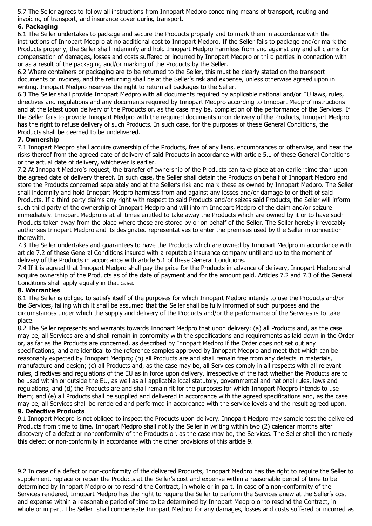5.7 The Seller agrees to follow all instructions from Innopart Medpro concerning means of transport, routing and invoicing of transport, and insurance cover during transport.

## **6. Packaging**

6.1 The Seller undertakes to package and secure the Products properly and to mark them in accordance with the instructions of Innopart Medpro at no additional cost to Innopart Medpro. If the Seller fails to package and/or mark the Products properly, the Seller shall indemnify and hold Innopart Medpro harmless from and against any and all claims for compensation of damages, losses and costs suffered or incurred by Innopart Medpro or third parties in connection with or as a result of the packaging and/or marking of the Products by the Seller.

6.2 Where containers or packaging are to be returned to the Seller, this must be clearly stated on the transport documents or invoices, and the returning shall be at the Seller's risk and expense, unless otherwise agreed upon in writing. Innopart Medpro reserves the right to return all packages to the Seller.

6.3 The Seller shall provide Innopart Medpro with all documents required by applicable national and/or EU laws, rules, directives and regulations and any documents required by Innopart Medpro according to Innopart Medpro' instructions and at the latest upon delivery of the Products or, as the case may be, completion of the performance of the Services. If the Seller fails to provide Innopart Medpro with the required documents upon delivery of the Products, Innopart Medpro has the right to refuse delivery of such Products. In such case, for the purposes of these General Conditions, the Products shall be deemed to be undelivered.

## **7. Ownership**

7.1 Innopart Medpro shall acquire ownership of the Products, free of any liens, encumbrances or otherwise, and bear the risks thereof from the agreed date of delivery of said Products in accordance with article 5.1 of these General Conditions or the actual date of delivery, whichever is earlier.

7.2 At Innopart Medpro's request, the transfer of ownership of the Products can take place at an earlier time than upon the agreed date of delivery thereof. In such case, the Seller shall detain the Products on behalf of Innopart Medpro and store the Products concerned separately and at the Seller's risk and mark these as owned by Innopart Medpro. The Seller shall indemnify and hold Innopart Medpro harmless from and against any losses and/or damage to or theft of said Products. If a third party claims any right with respect to said Products and/or seizes said Products, the Seller will inform such third party of the ownership of Innopart Medpro and will inform Innopart Medpro of the claim and/or seizure immediately. Innopart Medpro is at all times entitled to take away the Products which are owned by it or to have such Products taken away from the place where these are stored by or on behalf of the Seller. The Seller hereby irrevocably authorises Innopart Medpro and its designated representatives to enter the premises used by the Seller in connection therewith.

7.3 The Seller undertakes and guarantees to have the Products which are owned by Innopart Medpro in accordance with article 7.2 of these General Conditions insured with a reputable insurance company until and up to the moment of delivery of the Products in accordance with article 5.1 of these General Conditions.

7.4 If it is agreed that Innopart Medpro shall pay the price for the Products in advance of delivery, Innopart Medpro shall acquire ownership of the Products as of the date of payment and for the amount paid. Articles 7.2 and 7.3 of the General Conditions shall apply equally in that case.

# **8. Warranties**

8.1 The Seller is obliged to satisfy itself of the purposes for which Innopart Medpro intends to use the Products and/or the Services, failing which it shall be assumed that the Seller shall be fully informed of such purposes and the circumstances under which the supply and delivery of the Products and/or the performance of the Services is to take place.

8.2 The Seller represents and warrants towards Innopart Medpro that upon delivery: (a) all Products and, as the case may be, all Services are and shall remain in conformity with the specifications and requirements as laid down in the Order or, as far as the Products are concerned, as described by Innopart Medpro if the Order does not set out any specifications, and are identical to the reference samples approved by Innopart Medpro and meet that which can be reasonably expected by Innopart Medpro; (b) all Products are and shall remain free from any defects in materials, manufacture and design; (c) all Products and, as the case may be, all Services comply in all respects with all relevant rules, directives and regulations of the EU as in force upon delivery, irrespective of the fact whether the Products are to be used within or outside the EU, as well as all applicable local statutory, governmental and national rules, laws and regulations; and (d) the Products are and shall remain fit for the purposes for which Innopart Medpro intends to use them; and (e) all Products shall be supplied and delivered in accordance with the agreed specifications and, as the case may be, all Services shall be rendered and performed in accordance with the service levels and the result agreed upon.

## **9. Defective Products**

9.1 Innopart Medpro is not obliged to inspect the Products upon delivery. Innopart Medpro may sample test the delivered Products from time to time. Innopart Medpro shall notify the Seller in writing within two (2) calendar months after discovery of a defect or nonconformity of the Products or, as the case may be, the Services. The Seller shall then remedy this defect or non-conformity in accordance with the other provisions of this article 9.

9.2 In case of a defect or non-conformity of the delivered Products, Innopart Medpro has the right to require the Seller to supplement, replace or repair the Products at the Seller's cost and expense within a reasonable period of time to be determined by Innopart Medpro or to rescind the Contract, in whole or in part. In case of a non-conformity of the Services rendered, Innopart Medpro has the right to require the Seller to perform the Services anew at the Seller's cost and expense within a reasonable period of time to be determined by Innopart Medpro or to rescind the Contract, in whole or in part. The Seller shall compensate Innopart Medpro for any damages, losses and costs suffered or incurred as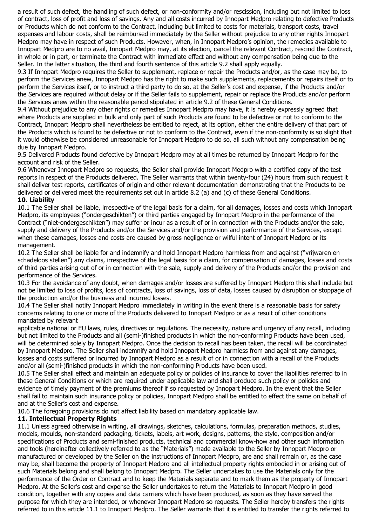a result of such defect, the handling of such defect, or non-conformity and/or rescission, including but not limited to loss of contract, loss of profit and loss of savings. Any and all costs incurred by Innopart Medpro relating to defective Products or Products which do not conform to the Contract, including but limited to costs for materials, transport costs, travel expenses and labour costs, shall be reimbursed immediately by the Seller without prejudice to any other rights Innopart Medpro may have in respect of such Products. However, when, in Innopart Medpro's opinion, the remedies available to Innopart Medpro are to no avail, Innopart Medpro may, at its election, cancel the relevant Contract, rescind the Contract, in whole or in part, or terminate the Contract with immediate effect and without any compensation being due to the Seller. In the latter situation, the third and fourth sentence of this article 9.2 shall apply equally.

9.3 If Innopart Medpro requires the Seller to supplement, replace or repair the Products and/or, as the case may be, to perform the Services anew, Innopart Medpro has the right to make such supplements, replacements or repairs itself or to perform the Services itself, or to instruct a third party to do so, at the Seller's cost and expense, if the Products and/or the Services are required without delay or if the Seller fails to supplement, repair or replace the Products and/or perform the Services anew within the reasonable period stipulated in article 9.2 of these General Conditions.

9.4 Without prejudice to any other rights or remedies Innopart Medpro may have, it is hereby expressly agreed that where Products are supplied in bulk and only part of such Products are found to be defective or not to conform to the Contract, Innopart Medpro shall nevertheless be entitled to reject, at its option, either the entire delivery of that part of the Products which is found to be defective or not to conform to the Contract, even if the non-conformity is so slight that it would otherwise be considered unreasonable for Innopart Medpro to do so, all such without any compensation being due by Innopart Medpro.

9.5 Delivered Products found defective by Innopart Medpro may at all times be returned by Innopart Medpro for the account and risk of the Seller.

9.6 Whenever Innopart Medpro so requests, the Seller shall provide Innopart Medpro with a certified copy of the test reports in respect of the Products delivered. The Seller warrants that within twenty-four (24) hours from such request it shall deliver test reports, certificates of origin and other relevant documentation demonstrating that the Products to be delivered or delivered meet the requirements set out in article 8.2 (a) and (c) of these General Conditions.

#### **10. Liability**

10.1 The Seller shall be liable, irrespective of the legal basis for a claim, for all damages, losses and costs which Innopart Medpro, its employees ("ondergeschikten") or third parties engaged by Innopart Medpro in the performance of the Contract ("niet-ondergeschikten") may suffer or incur as a result of or in connection with the Products and/or the sale, supply and delivery of the Products and/or the Services and/or the provision and performance of the Services, except when these damages, losses and costs are caused by gross negligence or wilful intent of Innopart Medpro or its management.

10.2 The Seller shall be liable for and indemnify and hold Innopart Medpro harmless from and against ("vrijwaren en schadeloos stellen") any claims, irrespective of the legal basis for a claim, for compensation of damages, losses and costs of third parties arising out of or in connection with the sale, supply and delivery of the Products and/or the provision and performance of the Services.

10.3 For the avoidance of any doubt, when damages and/or losses are suffered by Innopart Medpro this shall include but not be limited to loss of profits, loss of contracts, loss of savings, loss of data, losses caused by disruption or stoppage of the production and/or the business and incurred losses.

10.4 The Seller shall notify Innopart Medpro immediately in writing in the event there is a reasonable basis for safety concerns relating to one or more of the Products delivered to Innopart Medpro or as a result of other conditions mandated by relevant

applicable national or EU laws, rules, directives or regulations. The necessity, nature and urgency of any recall, including but not limited to the Products and all (semi-)finished products in which the non-conforming Products have been used, will be determined solely by Innopart Medpro. Once the decision to recall has been taken, the recall will be coordinated by Innopart Medpro. The Seller shall indemnify and hold Innopart Medpro harmless from and against any damages, losses and costs suffered or incurred by Innopart Medpro as a result of or in connection with a recall of the Products and/or all (semi-)finished products in which the non-conforming Products have been used.

10.5 The Seller shall effect and maintain an adequate policy or policies of insurance to cover the liabilities referred to in these General Conditions or which are required under applicable law and shall produce such policy or policies and evidence of timely payment of the premiums thereof if so requested by Innopart Medpro. In the event that the Seller shall fail to maintain such insurance policy or policies, Innopart Medpro shall be entitled to effect the same on behalf of and at the Seller's cost and expense.

10.6 The foregoing provisions do not affect liability based on mandatory applicable law.

## **11. Intellectual Property Rights**

11.1 Unless agreed otherwise in writing, all drawings, sketches, calculations, formulas, preparation methods, studies, models, moulds, non-standard packaging, tickets, labels, art work, designs, patterns, the style, composition and/or specifications of Products and semi-finished products, technical and commercial know-how and other such information and tools (hereinafter collectively referred to as the "Materials") made available to the Seller by Innopart Medpro or manufactured or developed by the Seller on the instructions of Innopart Medpro, are and shall remain or, as the case may be, shall become the property of Innopart Medpro and all intellectual property rights embodied in or arising out of such Materials belong and shall belong to Innopart Medpro. The Seller undertakes to use the Materials only for the performance of the Order or Contract and to keep the Materials separate and to mark them as the property of Innopart Medpro. At the Seller's cost and expense the Seller undertakes to return the Materials to Innopart Medpro in good condition, together with any copies and data carriers which have been produced, as soon as they have served the purpose for which they are intended, or whenever Innopart Medpro so requests. The Seller hereby transfers the rights referred to in this article 11.1 to Innopart Medpro. The Seller warrants that it is entitled to transfer the rights referred to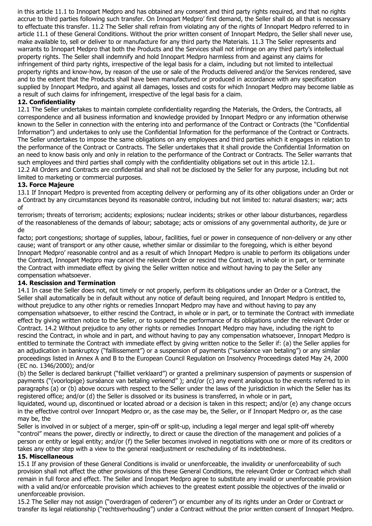in this article 11.1 to Innopart Medpro and has obtained any consent and third party rights required, and that no rights accrue to third parties following such transfer. On Innopart Medpro' first demand, the Seller shall do all that is necessary to effectuate this transfer. 11.2 The Seller shall refrain from violating any of the rights of Innopart Medpro referred to in article 11.1 of these General Conditions. Without the prior written consent of Innopart Medpro, the Seller shall never use, make available to, sell or deliver to or manufacture for any third party the Materials. 11.3 The Seller represents and warrants to Innopart Medpro that both the Products and the Services shall not infringe on any third party's intellectual property rights. The Seller shall indemnify and hold Innopart Medpro harmless from and against any claims for infringement of third party rights, irrespective of the legal basis for a claim, including but not limited to intellectual property rights and know-how, by reason of the use or sale of the Products delivered and/or the Services rendered, save and to the extent that the Products shall have been manufactured or produced in accordance with any specification supplied by Innopart Medpro, and against all damages, losses and costs for which Innopart Medpro may become liable as a result of such claims for infringement, irrespective of the legal basis for a claim.

## **12. Confidentiality**

12.1 The Seller undertakes to maintain complete confidentiality regarding the Materials, the Orders, the Contracts, all correspondence and all business information and knowledge provided by Innopart Medpro or any information otherwise known to the Seller in connection with the entering into and performance of the Contract or Contracts (the "Confidential Information") and undertakes to only use the Confidential Information for the performance of the Contract or Contracts. The Seller undertakes to impose the same obligations on any employees and third parties which it engages in relation to the performance of the Contract or Contracts. The Seller undertakes that it shall provide the Confidential Information on an need to know basis only and only in relation to the performance of the Contract or Contracts. The Seller warrants that such employees and third parties shall comply with the confidentiality obligations set out in this article 12.1.

12.2 All Orders and Contracts are confidential and shall not be disclosed by the Seller for any purpose, including but not limited to marketing or commercial purposes.

## **13. Force Majeure**

13.1 If Innopart Medpro is prevented from accepting delivery or performing any of its other obligations under an Order or a Contract by any circumstances beyond its reasonable control, including but not limited to: natural disasters; war; acts of

terrorism; threats of terrorism; accidents; explosions; nuclear incidents; strikes or other labour disturbances, regardless of the reasonableness of the demands of labour; sabotage; acts or omissions of any governmental authority, de jure or de

facto; port congestions; shortage of supplies, labour, facilities, fuel or power in consequence of non-delivery or any other cause; want of transport or any other cause, whether similar or dissimilar to the foregoing, which is either beyond Innopart Medpro' reasonable control and as a result of which Innopart Medpro is unable to perform its obligations under the Contract, Innopart Medpro may cancel the relevant Order or rescind the Contract, in whole or in part, or terminate the Contract with immediate effect by giving the Seller written notice and without having to pay the Seller any compensation whatsoever.

## **14. Rescission and Termination**

14.1 In case the Seller does not, not timely or not properly, perform its obligations under an Order or a Contract, the Seller shall automatically be in default without any notice of default being required, and Innopart Medpro is entitled to, without prejudice to any other rights or remedies Innopart Medpro may have and without having to pay any compensation whatsoever, to either rescind the Contract, in whole or in part, or to terminate the Contract with immediate effect by giving written notice to the Seller, or to suspend the performance of its obligations under the relevant Order or Contract. 14.2 Without prejudice to any other rights or remedies Innopart Medpro may have, including the right to rescind the Contract, in whole and in part, and without having to pay any compensation whatsoever, Innopart Medpro is entitled to terminate the Contract with immediate effect by giving written notice to the Seller if: (a) the Seller applies for an adjudication in bankruptcy ("faillissement") or a suspension of payments ("surséance van betaling") or any similar proceedings listed in Annex A and B to the European Council Regulation on Insolvency Proceedings dated May 24, 2000 (EC no. 1346/2000); and/or

(b) the Seller is declared bankrupt ("failliet verklaard") or granted a preliminary suspension of payments or suspension of payments ("(voorlopige) surséance van betaling verleend" ); and/or (c) any event analogous to the events referred to in paragraphs (a) or (b) above occurs with respect to the Seller under the laws of the jurisdiction in which the Seller has its registered office; and/or (d) the Seller is dissolved or its business is transferred, in whole or in part,

liquidated, wound up, discontinued or located abroad or a decision is taken in this respect; and/or (e) any change occurs in the effective control over Innopart Medpro or, as the case may be, the Seller, or if Innopart Medpro or, as the case may be, the

Seller is involved in or subject of a merger, spin-off or split-up, including a legal merger and legal split-off whereby "control" means the power, directly or indirectly, to direct or cause the direction of the management and policies of a person or entity or legal entity; and/or (f) the Seller becomes involved in negotiations with one or more of its creditors or takes any other step with a view to the general readjustment or rescheduling of its indebtedness.

## **15. Miscellaneous**

15.1 If any provision of these General Conditions is invalid or unenforceable, the invalidity or unenforceability of such provision shall not affect the other provisions of this these General Conditions, the relevant Order or Contract which shall remain in full force and effect. The Seller and Innopart Medpro agree to substitute any invalid or unenforceable provision with a valid and/or enforceable provision which achieves to the greatest extent possible the objectives of the invalid or unenforceable provision.

15.2 The Seller may not assign ("overdragen of cederen") or encumber any of its rights under an Order or Contract or transfer its legal relationship ("rechtsverhouding") under a Contract without the prior written consent of Innopart Medpro.